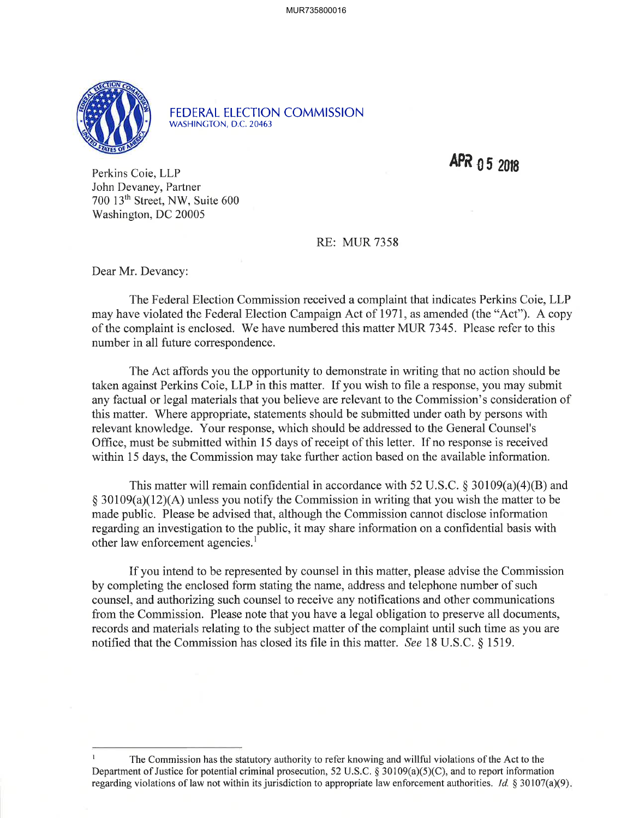

FEDERAL ELECTION COMMISSION WASHINGTON, D.C.20463

APR 05 2018

Perkins Coie, LLP John Devaney, Partner 700 13th Street, NW, Suite 600 Washington, DC 20005

## RE: MUR 7358

Dear Mr. Devancy:

The Federal Election Commission received a complaint that indicates Perkins Coie, LLP may have violated the Federal Election Campaign Act of 1971, as amended (the "Act"). A copy of the complaint is enclosed. We have numbered this matter MUR 7345. Please refer to this number in all future correspondence.

The Act affords you the opportunity to demonstrate in writing that no action should be taken against Perkins Coie, LLP in this matter. If you wish to file a response, you may submit any factual or legal materials that you believe are relevant to the Commission's consideration of this matter. Where appropriate, statements should be submitted under oath by persons with relevant knowledge. Your response, which should be addressed to the General Counsel's Office, must be submitted within 15 days of receipt of this letter. If no response is received within 15 days, the Commission may take further action based on the available information.

This matter will remain confidential in accordance with 52 U.S.C.  $\S 30109(a)(4)(B)$  and  $\S 30109(a)(12)(A)$  unless you notify the Commission in writing that you wish the matter to be made public. Please be advised that, although the Commission cannot disclose information regarding an investigation to the public, it may share information on a confidential basis with other law enforcement agencies.<sup>1</sup>

If you intend to be represented by counsel in this matter, please advise the Commission by completing the enclosed form stating the name, address and telephone number of such counsel, and authorizing such counsel to receive any notifications and other communications from the Commission. Please note that you have a legal obligation to preserve all documents, records and materials relating to the subject matter of the complaint until such time as you are notified that the Commission has closed its file in this matter. See l8 U.S.C. \$ 1519.

I The Commission has the statutory authority to refer knowing and willful violations of the Act to the Department of Justice for potential criminal prosecution, 52 U.S.C.  $\S 30109(a)(5)(C)$ , and to report information regarding violations of law not within its jurisdiction to appropriate law enforcement authorities. Id.  $\S 30107(a)(9)$ .